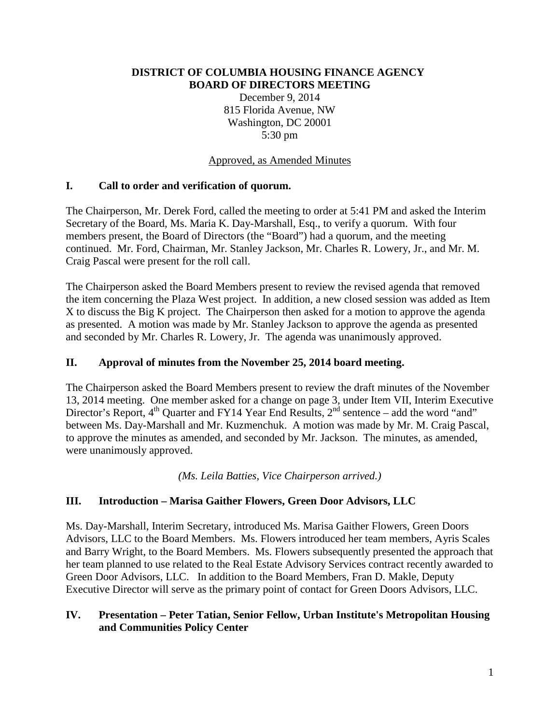#### **DISTRICT OF COLUMBIA HOUSING FINANCE AGENCY BOARD OF DIRECTORS MEETING**

December 9, 2014 815 Florida Avenue, NW Washington, DC 20001 5:30 pm

#### Approved, as Amended Minutes

### **I. Call to order and verification of quorum.**

The Chairperson, Mr. Derek Ford, called the meeting to order at 5:41 PM and asked the Interim Secretary of the Board, Ms. Maria K. Day-Marshall, Esq., to verify a quorum. With four members present, the Board of Directors (the "Board") had a quorum, and the meeting continued. Mr. Ford, Chairman, Mr. Stanley Jackson, Mr. Charles R. Lowery, Jr., and Mr. M. Craig Pascal were present for the roll call.

The Chairperson asked the Board Members present to review the revised agenda that removed the item concerning the Plaza West project. In addition, a new closed session was added as Item X to discuss the Big K project. The Chairperson then asked for a motion to approve the agenda as presented. A motion was made by Mr. Stanley Jackson to approve the agenda as presented and seconded by Mr. Charles R. Lowery, Jr. The agenda was unanimously approved.

### **II. Approval of minutes from the November 25, 2014 board meeting.**

The Chairperson asked the Board Members present to review the draft minutes of the November 13, 2014 meeting. One member asked for a change on page 3, under Item VII, Interim Executive Director's Report,  $4<sup>th</sup>$  Quarter and FY14 Year End Results,  $2<sup>nd</sup>$  sentence – add the word "and" between Ms. Day-Marshall and Mr. Kuzmenchuk. A motion was made by Mr. M. Craig Pascal, to approve the minutes as amended, and seconded by Mr. Jackson. The minutes, as amended, were unanimously approved.

*(Ms. Leila Batties, Vice Chairperson arrived.)*

### **III. Introduction – Marisa Gaither Flowers, Green Door Advisors, LLC**

Ms. Day-Marshall, Interim Secretary, introduced Ms. Marisa Gaither Flowers, Green Doors Advisors, LLC to the Board Members. Ms. Flowers introduced her team members, Ayris Scales and Barry Wright, to the Board Members. Ms. Flowers subsequently presented the approach that her team planned to use related to the Real Estate Advisory Services contract recently awarded to Green Door Advisors, LLC. In addition to the Board Members, Fran D. Makle, Deputy Executive Director will serve as the primary point of contact for Green Doors Advisors, LLC.

#### **IV. Presentation – Peter Tatian, Senior Fellow, Urban Institute's Metropolitan Housing and Communities Policy Center**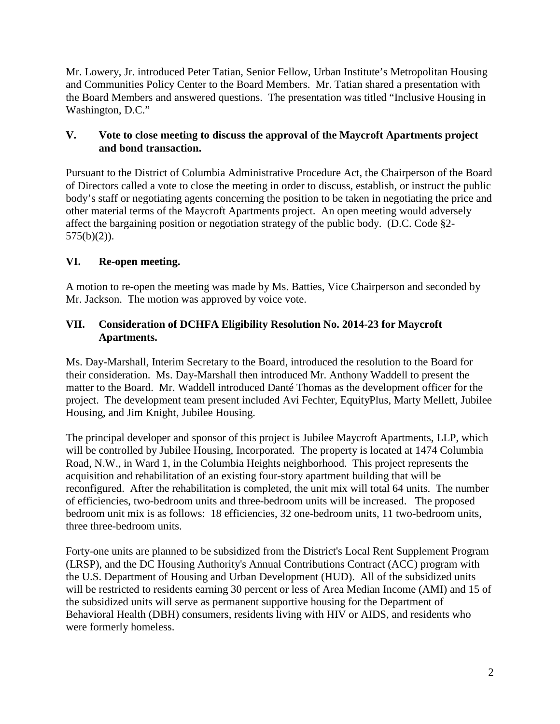Mr. Lowery, Jr. introduced Peter Tatian, Senior Fellow, Urban Institute's Metropolitan Housing and Communities Policy Center to the Board Members. Mr. Tatian shared a presentation with the Board Members and answered questions. The presentation was titled "Inclusive Housing in Washington, D.C."

### **V. Vote to close meeting to discuss the approval of the Maycroft Apartments project and bond transaction.**

Pursuant to the District of Columbia Administrative Procedure Act, the Chairperson of the Board of Directors called a vote to close the meeting in order to discuss, establish, or instruct the public body's staff or negotiating agents concerning the position to be taken in negotiating the price and other material terms of the Maycroft Apartments project. An open meeting would adversely affect the bargaining position or negotiation strategy of the public body. (D.C. Code §2-  $575(b)(2)$ ).

## **VI. Re-open meeting.**

A motion to re-open the meeting was made by Ms. Batties, Vice Chairperson and seconded by Mr. Jackson. The motion was approved by voice vote.

### **VII. Consideration of DCHFA Eligibility Resolution No. 2014-23 for Maycroft Apartments.**

Ms. Day-Marshall, Interim Secretary to the Board, introduced the resolution to the Board for their consideration. Ms. Day-Marshall then introduced Mr. Anthony Waddell to present the matter to the Board. Mr. Waddell introduced Danté Thomas as the development officer for the project. The development team present included Avi Fechter, EquityPlus, Marty Mellett, Jubilee Housing, and Jim Knight, Jubilee Housing.

The principal developer and sponsor of this project is Jubilee Maycroft Apartments, LLP, which will be controlled by Jubilee Housing, Incorporated. The property is located at 1474 Columbia Road, N.W., in Ward 1, in the Columbia Heights neighborhood. This project represents the acquisition and rehabilitation of an existing four-story apartment building that will be reconfigured. After the rehabilitation is completed, the unit mix will total 64 units. The number of efficiencies, two-bedroom units and three-bedroom units will be increased. The proposed bedroom unit mix is as follows: 18 efficiencies, 32 one-bedroom units, 11 two-bedroom units, three three-bedroom units.

Forty-one units are planned to be subsidized from the District's Local Rent Supplement Program (LRSP), and the DC Housing Authority's Annual Contributions Contract (ACC) program with the U.S. Department of Housing and Urban Development (HUD). All of the subsidized units will be restricted to residents earning 30 percent or less of Area Median Income (AMI) and 15 of the subsidized units will serve as permanent supportive housing for the Department of Behavioral Health (DBH) consumers, residents living with HIV or AIDS, and residents who were formerly homeless.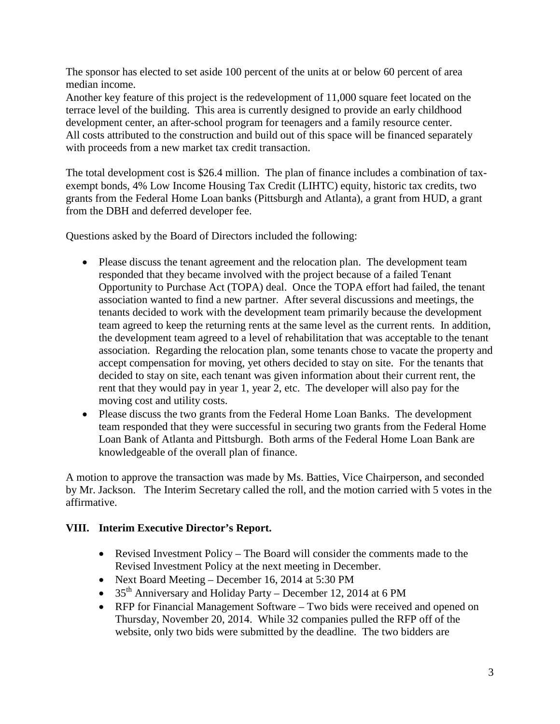The sponsor has elected to set aside 100 percent of the units at or below 60 percent of area median income.

Another key feature of this project is the redevelopment of 11,000 square feet located on the terrace level of the building. This area is currently designed to provide an early childhood development center, an after-school program for teenagers and a family resource center. All costs attributed to the construction and build out of this space will be financed separately with proceeds from a new market tax credit transaction.

The total development cost is \$26.4 million. The plan of finance includes a combination of taxexempt bonds, 4% Low Income Housing Tax Credit (LIHTC) equity, historic tax credits, two grants from the Federal Home Loan banks (Pittsburgh and Atlanta), a grant from HUD, a grant from the DBH and deferred developer fee.

Questions asked by the Board of Directors included the following:

- Please discuss the tenant agreement and the relocation plan. The development team responded that they became involved with the project because of a failed Tenant Opportunity to Purchase Act (TOPA) deal. Once the TOPA effort had failed, the tenant association wanted to find a new partner. After several discussions and meetings, the tenants decided to work with the development team primarily because the development team agreed to keep the returning rents at the same level as the current rents. In addition, the development team agreed to a level of rehabilitation that was acceptable to the tenant association. Regarding the relocation plan, some tenants chose to vacate the property and accept compensation for moving, yet others decided to stay on site. For the tenants that decided to stay on site, each tenant was given information about their current rent, the rent that they would pay in year 1, year 2, etc. The developer will also pay for the moving cost and utility costs.
- Please discuss the two grants from the Federal Home Loan Banks. The development team responded that they were successful in securing two grants from the Federal Home Loan Bank of Atlanta and Pittsburgh. Both arms of the Federal Home Loan Bank are knowledgeable of the overall plan of finance.

A motion to approve the transaction was made by Ms. Batties, Vice Chairperson, and seconded by Mr. Jackson. The Interim Secretary called the roll, and the motion carried with 5 votes in the affirmative.

### **VIII. Interim Executive Director's Report.**

- Revised Investment Policy The Board will consider the comments made to the Revised Investment Policy at the next meeting in December.
- Next Board Meeting December 16, 2014 at 5:30 PM
- 35<sup>th</sup> Anniversary and Holiday Party December 12, 2014 at 6 PM
- RFP for Financial Management Software Two bids were received and opened on Thursday, November 20, 2014. While 32 companies pulled the RFP off of the website, only two bids were submitted by the deadline. The two bidders are